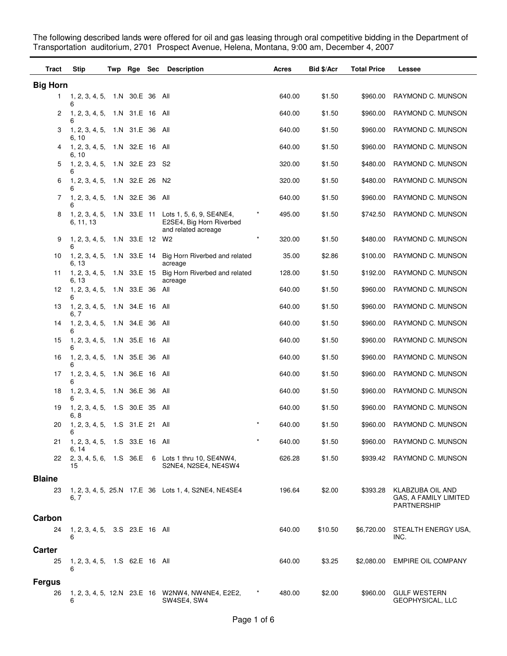The following described lands were offered for oil and gas leasing through oral competitive bidding in the Department of Transportation auditorium, 2701 Prospect Avenue, Helena, Montana, 9:00 am, December 4, 2007

| Tract           | <b>Stip</b>                             | Twp | Rge Sec         | <b>Description</b>                                                          | Acres               | Bid \$/Acr | <b>Total Price</b> | <b>Lessee</b>                                            |
|-----------------|-----------------------------------------|-----|-----------------|-----------------------------------------------------------------------------|---------------------|------------|--------------------|----------------------------------------------------------|
| <b>Big Horn</b> |                                         |     |                 |                                                                             |                     |            |                    |                                                          |
| $\mathbf{1}$    | 1, 2, 3, 4, 5, 1.N 30.E 36 All<br>6     |     |                 |                                                                             | 640.00              | \$1.50     | \$960.00           | RAYMOND C. MUNSON                                        |
| 2               | 1, 2, 3, 4, 5,<br>6                     |     | 1.N 31.E 16 All |                                                                             | 640.00              | \$1.50     | \$960.00           | RAYMOND C. MUNSON                                        |
| 3               | 1, 2, 3, 4, 5, 1.N 31.E 36 All<br>6, 10 |     |                 |                                                                             | 640.00              | \$1.50     | \$960.00           | RAYMOND C. MUNSON                                        |
| 4               | 1, 2, 3, 4, 5, 1.N 32.E 16 All<br>6, 10 |     |                 |                                                                             | 640.00              | \$1.50     | \$960.00           | RAYMOND C. MUNSON                                        |
| 5               | 1, 2, 3, 4, 5, 1.N 32.E 23<br>6         |     |                 | -S2                                                                         | 320.00              | \$1.50     | \$480.00           | RAYMOND C. MUNSON                                        |
| 6               | 1, 2, 3, 4, 5,<br>6                     |     | 1.N 32.E 26     | N <sub>2</sub>                                                              | 320.00              | \$1.50     | \$480.00           | RAYMOND C. MUNSON                                        |
| 7               | 1, 2, 3, 4, 5,                          |     | 1.N 32.E 36     | All                                                                         | 640.00              | \$1.50     | \$960.00           | RAYMOND C. MUNSON                                        |
| 8               | 1, 2, 3, 4, 5, 1.N 33.E 11<br>6, 11, 13 |     |                 | Lots 1, 5, 6, 9, SE4NE4,<br>E2SE4, Big Horn Riverbed<br>and related acreage | *<br>495.00         | \$1.50     | \$742.50           | RAYMOND C. MUNSON                                        |
| 9               | 1, 2, 3, 4, 5, 1.N 33.E 12<br>6         |     |                 | W2                                                                          | $\star$<br>320.00   | \$1.50     | \$480.00           | RAYMOND C. MUNSON                                        |
| 10              | 1, 2, 3, 4, 5, 1.N 33.E 14<br>6, 13     |     |                 | Big Horn Riverbed and related<br>acreage                                    | 35.00               | \$2.86     | \$100.00           | RAYMOND C. MUNSON                                        |
| 11              | 1, 2, 3, 4, 5, 1.N 33.E 15<br>6, 13     |     |                 | Big Horn Riverbed and related<br>acreage                                    | 128.00              | \$1.50     | \$192.00           | RAYMOND C. MUNSON                                        |
| 12              | 1, 2, 3, 4, 5, 1.N 33.E 36<br>6         |     |                 | All                                                                         | 640.00              | \$1.50     | \$960.00           | RAYMOND C. MUNSON                                        |
| 13              | 1, 2, 3, 4, 5,<br>6, 7                  |     | 1.N 34.E 16 All |                                                                             | 640.00              | \$1.50     | \$960.00           | RAYMOND C. MUNSON                                        |
| 14              | 1, 2, 3, 4, 5, 1.N 34.E 36 All<br>6     |     |                 |                                                                             | 640.00              | \$1.50     | \$960.00           | RAYMOND C. MUNSON                                        |
| 15              | 1, 2, 3, 4, 5, 1.N 35.E 16 All<br>6     |     |                 |                                                                             | 640.00              | \$1.50     | \$960.00           | RAYMOND C. MUNSON                                        |
| 16              | 1, 2, 3, 4, 5,                          |     | 1.N 35.E 36 All |                                                                             | 640.00              | \$1.50     | \$960.00           | RAYMOND C. MUNSON                                        |
| 17              | 1, 2, 3, 4, 5,<br>6                     |     | 1.N 36.E 16 All |                                                                             | 640.00              | \$1.50     | \$960.00           | RAYMOND C. MUNSON                                        |
| 18              | 1, 2, 3, 4, 5,<br>6                     |     | 1.N 36.E 36     | All                                                                         | 640.00              | \$1.50     | \$960.00           | RAYMOND C. MUNSON                                        |
| 19              | 1, 2, 3, 4, 5,<br>6, 8                  |     | 1.S 30.E 35     | All                                                                         | 640.00              | \$1.50     | \$960.00           | RAYMOND C. MUNSON                                        |
| 20              | 1, 2, 3, 4, 5, 1.S 31.E 21 All          |     |                 |                                                                             | $^{\ast}$<br>640.00 | \$1.50     | \$960.00           | RAYMOND C. MUNSON                                        |
| 21              | 1, 2, 3, 4, 5, 1.S 33.E 16 All<br>6, 14 |     |                 |                                                                             | $\star$<br>640.00   | \$1.50     | \$960.00           | RAYMOND C. MUNSON                                        |
| 22              | 15                                      |     |                 | 2, 3, 4, 5, 6, 1.S 36.E 6 Lots 1 thru 10, SE4NW4,<br>S2NE4, N2SE4, NE4SW4   | 626.28              | \$1.50     | \$939.42           | RAYMOND C. MUNSON                                        |
| <b>Blaine</b>   |                                         |     |                 |                                                                             |                     |            |                    |                                                          |
| 23              | 6.7                                     |     |                 | 1, 2, 3, 4, 5, 25.N 17.E 36 Lots 1, 4, S2NE4, NE4SE4                        | 196.64              | \$2.00     | \$393.28           | KLABZUBA OIL AND<br>GAS, A FAMILY LIMITED<br>PARTNERSHIP |
| Carbon          |                                         |     |                 |                                                                             |                     |            |                    |                                                          |
| 24              | 1, 2, 3, 4, 5, 3.S 23.E 16 All<br>6     |     |                 |                                                                             | 640.00              | \$10.50    | \$6,720.00         | STEALTH ENERGY USA,<br>INC.                              |
| Carter          |                                         |     |                 |                                                                             |                     |            |                    |                                                          |
| 25              | 1, 2, 3, 4, 5, 1.S 62.E 16 All<br>6     |     |                 |                                                                             | 640.00              | \$3.25     | \$2,080.00         | <b>EMPIRE OIL COMPANY</b>                                |
| <b>Fergus</b>   |                                         |     |                 |                                                                             |                     |            |                    |                                                          |
| 26              | 6                                       |     |                 | 1, 2, 3, 4, 5, 12.N 23.E 16 W2NW4, NW4NE4, E2E2,<br>SW4SE4, SW4             | 480.00              | \$2.00     | \$960.00           | <b>GULF WESTERN</b><br>GEOPHYSICAL, LLC                  |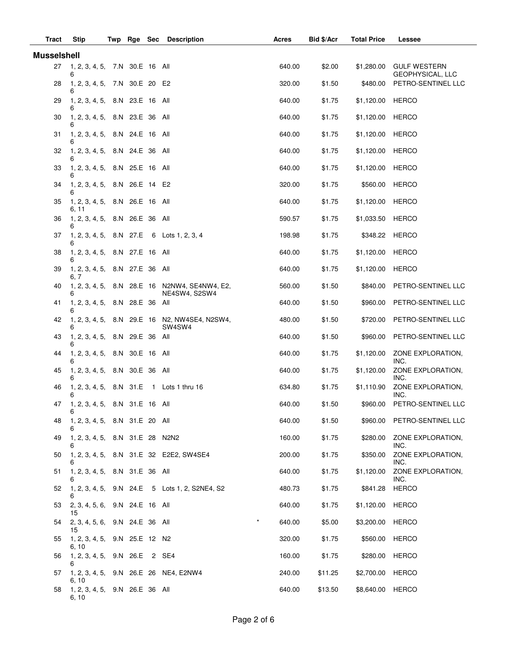| Tract              | Stip                                    |  | Twp Rge Sec |  | <b>Description</b>                                             | Acres  | Bid \$/Acr | <b>Total Price</b> | <b>Lessee</b>                           |
|--------------------|-----------------------------------------|--|-------------|--|----------------------------------------------------------------|--------|------------|--------------------|-----------------------------------------|
| <b>Musselshell</b> |                                         |  |             |  |                                                                |        |            |                    |                                         |
| 27                 | 1, 2, 3, 4, 5, 7.N 30.E 16 All<br>6     |  |             |  |                                                                | 640.00 | \$2.00     | \$1,280.00         | <b>GULF WESTERN</b><br>GEOPHYSICAL, LLC |
| 28                 | 1, 2, 3, 4, 5, 7.N 30.E 20 E2           |  |             |  |                                                                | 320.00 | \$1.50     | \$480.00           | PETRO-SENTINEL LLC                      |
| 29                 | 1, 2, 3, 4, 5, 8.N 23.E 16 All<br>6     |  |             |  |                                                                | 640.00 | \$1.75     | \$1,120.00         | <b>HERCO</b>                            |
| 30                 | 1, 2, 3, 4, 5, 8.N 23.E 36 All<br>6     |  |             |  |                                                                | 640.00 | \$1.75     | \$1,120.00         | HERCO                                   |
| 31                 | 1, 2, 3, 4, 5, 8.N 24.E 16 All<br>6     |  |             |  |                                                                | 640.00 | \$1.75     | \$1,120.00         | <b>HERCO</b>                            |
| 32                 | 1, 2, 3, 4, 5, 8.N 24.E 36 All          |  |             |  |                                                                | 640.00 | \$1.75     | \$1,120.00         | <b>HERCO</b>                            |
| 33                 | 1, 2, 3, 4, 5, 8.N 25.E 16 All<br>6     |  |             |  |                                                                | 640.00 | \$1.75     | \$1,120.00         | <b>HERCO</b>                            |
| 34                 | 1, 2, 3, 4, 5, 8.N 26.E 14 E2<br>6      |  |             |  |                                                                | 320.00 | \$1.75     | \$560.00           | <b>HERCO</b>                            |
| 35                 | 1, 2, 3, 4, 5, 8.N 26.E 16 All<br>6, 11 |  |             |  |                                                                | 640.00 | \$1.75     | \$1,120.00         | <b>HERCO</b>                            |
| 36                 | 1, 2, 3, 4, 5, 8.N 26.E 36 All<br>6     |  |             |  |                                                                | 590.57 | \$1.75     | \$1,033.50         | <b>HERCO</b>                            |
| 37                 | 6                                       |  |             |  | 1, 2, 3, 4, 5, 8.N 27.E 6 Lots 1, 2, 3, 4                      | 198.98 | \$1.75     | \$348.22           | <b>HERCO</b>                            |
| 38                 | 1, 2, 3, 4, 5, 8.N 27.E 16 All<br>6     |  |             |  |                                                                | 640.00 | \$1.75     | \$1,120.00         | <b>HERCO</b>                            |
| 39                 | 1, 2, 3, 4, 5, 8.N 27.E 36 All          |  |             |  |                                                                | 640.00 | \$1.75     | \$1,120.00         | <b>HERCO</b>                            |
| 40                 | 6. 7<br>6                               |  |             |  | 1, 2, 3, 4, 5, 8.N 28.E 16 N2NW4, SE4NW4, E2,<br>NE4SW4, S2SW4 | 560.00 | \$1.50     | \$840.00           | PETRO-SENTINEL LLC                      |
| 41                 | 1, 2, 3, 4, 5, 8.N 28.E 36 All<br>6     |  |             |  |                                                                | 640.00 | \$1.50     | \$960.00           | PETRO-SENTINEL LLC                      |
| 42                 |                                         |  |             |  | 1, 2, 3, 4, 5, 8.N 29.E 16 N2, NW4SE4, N2SW4,<br>SW4SW4        | 480.00 | \$1.50     | \$720.00           | PETRO-SENTINEL LLC                      |
| 43                 | 1, 2, 3, 4, 5, 8.N 29.E 36 All<br>6     |  |             |  |                                                                | 640.00 | \$1.50     | \$960.00           | PETRO-SENTINEL LLC                      |
| 44                 | 1, 2, 3, 4, 5, 8.N 30.E 16 All<br>6     |  |             |  |                                                                | 640.00 | \$1.75     | \$1,120.00         | ZONE EXPLORATION.<br>INC.               |
| 45                 | 1, 2, 3, 4, 5, 8.N 30.E 36 All<br>6     |  |             |  |                                                                | 640.00 | \$1.75     | \$1,120.00         | ZONE EXPLORATION.<br>INC.               |
| 46                 | 6                                       |  |             |  | 1, 2, 3, 4, 5, 8.N 31.E 1 Lots 1 thru 16                       | 634.80 | \$1.75     | \$1,110.90         | ZONE EXPLORATION,<br>INC.               |
|                    | 47 1, 2, 3, 4, 5, 8.N 31.E 16 All<br>6  |  |             |  |                                                                | 640.00 | \$1.50     | \$960.00           | PETRO-SENTINEL LLC                      |
| 48                 | 1, 2, 3, 4, 5, 8.N 31.E 20 All<br>6     |  |             |  |                                                                | 640.00 | \$1.50     |                    | \$960.00 PETRO-SENTINEL LLC             |
| 49                 | 1, 2, 3, 4, 5, 8.N 31.E 28 N2N2<br>6    |  |             |  |                                                                | 160.00 | \$1.75     | \$280.00           | ZONE EXPLORATION,<br>INC.               |
| 50                 |                                         |  |             |  | 1, 2, 3, 4, 5, 8.N 31.E 32 E2E2, SW4SE4                        | 200.00 | \$1.75     | \$350.00           | ZONE EXPLORATION,<br>INC.               |
| 51                 | 1, 2, 3, 4, 5, 8.N 31.E 36 All<br>6     |  |             |  |                                                                | 640.00 | \$1.75     | \$1,120.00         | ZONE EXPLORATION,<br>INC.               |
| 52                 | 6                                       |  |             |  | 1, 2, 3, 4, 5, 9.N 24.E 5 Lots 1, 2, S2NE4, S2                 | 480.73 | \$1.75     | \$841.28           | <b>HERCO</b>                            |
| 53                 | 2, 3, 4, 5, 6, 9.N 24.E 16 All<br>15    |  |             |  |                                                                | 640.00 | \$1.75     | \$1,120.00 HERCO   |                                         |
| 54                 | 2, 3, 4, 5, 6, 9.N 24.E 36 All<br>15    |  |             |  | $\star$                                                        | 640.00 | \$5.00     | \$3,200.00 HERCO   |                                         |
| 55                 | 1, 2, 3, 4, 5, 9.N 25.E 12 N2<br>6, 10  |  |             |  |                                                                | 320.00 | \$1.75     | \$560.00           | HERCO                                   |
| 56                 | 1, 2, 3, 4, 5, 9.N 26.E 2 SE4<br>6      |  |             |  |                                                                | 160.00 | \$1.75     | \$280.00           | HERCO                                   |
| 57                 | 6, 10                                   |  |             |  | 1, 2, 3, 4, 5, 9.N 26.E 26 NE4, E2NW4                          | 240.00 | \$11.25    | \$2,700.00 HERCO   |                                         |
| 58                 | 1, 2, 3, 4, 5, 9.N 26.E 36 All<br>6, 10 |  |             |  |                                                                | 640.00 | \$13.50    | \$8,640.00 HERCO   |                                         |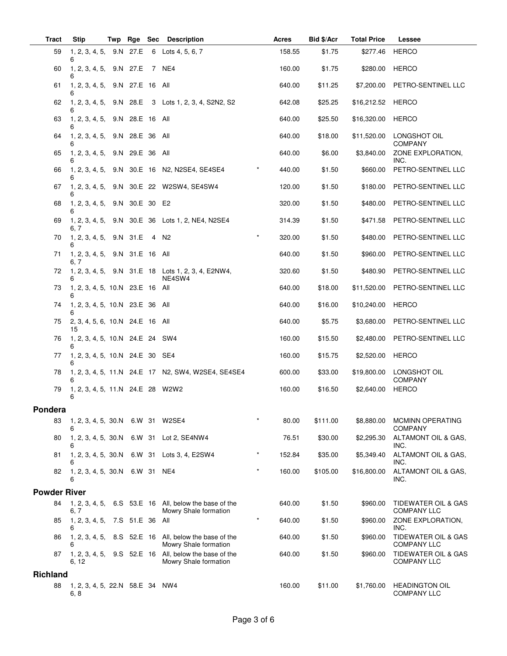| <b>Tract</b>        | <b>Stip</b>                             | Twp | Rge | Sec | <b>Description</b>                                                             | <b>Acres</b> | Bid \$/Acr | <b>Total Price</b> | Lessee                                      |
|---------------------|-----------------------------------------|-----|-----|-----|--------------------------------------------------------------------------------|--------------|------------|--------------------|---------------------------------------------|
| 59                  | 1, 2, 3, 4, 5, 9.N 27.E<br>6            |     |     |     | 6 Lots 4, 5, 6, 7                                                              | 158.55       | \$1.75     | \$277.46           | <b>HERCO</b>                                |
| 60                  | 1, 2, 3, 4, 5, 9.N 27.E 7 NE4<br>6      |     |     |     |                                                                                | 160.00       | \$1.75     | \$280.00           | <b>HERCO</b>                                |
| 61                  | 1, 2, 3, 4, 5, 9.N 27.E 16 All<br>6     |     |     |     |                                                                                | 640.00       | \$11.25    | \$7,200.00         | PETRO-SENTINEL LLC                          |
| 62                  |                                         |     |     |     | 1, 2, 3, 4, 5, 9.N 28.E 3 Lots 1, 2, 3, 4, S2N2, S2                            | 642.08       | \$25.25    | \$16,212.52        | HERCO                                       |
| 63                  | 1, 2, 3, 4, 5, 9.N 28.E 16 All<br>6     |     |     |     |                                                                                | 640.00       | \$25.50    | \$16,320.00        | <b>HERCO</b>                                |
| 64                  | 1, 2, 3, 4, 5, 9.N 28.E 36 All<br>6     |     |     |     |                                                                                | 640.00       | \$18.00    | \$11,520.00        | LONGSHOT OIL<br><b>COMPANY</b>              |
| 65                  | 1, 2, 3, 4, 5, 9.N 29.E 36 All          |     |     |     |                                                                                | 640.00       | \$6.00     | \$3,840.00         | ZONE EXPLORATION,<br>INC.                   |
| 66                  | 6                                       |     |     |     | 1, 2, 3, 4, 5, 9.N 30.E 16 N2, N2SE4, SE4SE4                                   | 440.00       | \$1.50     | \$660.00           | PETRO-SENTINEL LLC                          |
| 67                  | 6                                       |     |     |     | 1, 2, 3, 4, 5, 9.N 30.E 22 W2SW4, SE4SW4                                       | 120.00       | \$1.50     | \$180.00           | PETRO-SENTINEL LLC                          |
| 68                  | 1, 2, 3, 4, 5, 9.N 30.E 30 E2<br>6      |     |     |     |                                                                                | 320.00       | \$1.50     | \$480.00           | PETRO-SENTINEL LLC                          |
| 69                  | 6. 7                                    |     |     |     | 1, 2, 3, 4, 5, 9.N 30.E 36 Lots 1, 2, NE4, N2SE4                               | 314.39       | \$1.50     | \$471.58           | PETRO-SENTINEL LLC                          |
| 70                  | 1, 2, 3, 4, 5, 9.N 31.E 4 N2<br>6       |     |     |     | $^\star$                                                                       | 320.00       | \$1.50     | \$480.00           | PETRO-SENTINEL LLC                          |
| 71                  | 1, 2, 3, 4, 5, 9.N 31.E 16 All<br>6, 7  |     |     |     |                                                                                | 640.00       | \$1.50     | \$960.00           | PETRO-SENTINEL LLC                          |
| 72                  |                                         |     |     |     | 1, 2, 3, 4, 5, 9.N 31.E 18 Lots 1, 2, 3, 4, E2NW4,<br>NE4SW4                   | 320.60       | \$1.50     | \$480.90           | PETRO-SENTINEL LLC                          |
| 73                  | 1, 2, 3, 4, 5, 10.N 23.E 16 All<br>6    |     |     |     |                                                                                | 640.00       | \$18.00    | \$11,520.00        | PETRO-SENTINEL LLC                          |
| 74                  | 1, 2, 3, 4, 5, 10.N 23.E 36 All<br>6    |     |     |     |                                                                                | 640.00       | \$16.00    | \$10,240.00        | <b>HERCO</b>                                |
| 75                  | 2, 3, 4, 5, 6, 10.N 24.E 16 All<br>15   |     |     |     |                                                                                | 640.00       | \$5.75     | \$3,680.00         | PETRO-SENTINEL LLC                          |
| 76                  | 1, 2, 3, 4, 5, 10.N 24.E 24 SW4<br>6    |     |     |     |                                                                                | 160.00       | \$15.50    | \$2,480.00         | PETRO-SENTINEL LLC                          |
| 77                  | 1, 2, 3, 4, 5, 10.N 24.E 30 SE4<br>6    |     |     |     |                                                                                | 160.00       | \$15.75    | \$2,520.00         | <b>HERCO</b>                                |
| 78                  | 6                                       |     |     |     | 1, 2, 3, 4, 5, 11.N 24.E 17 N2, SW4, W2SE4, SE4SE4                             | 600.00       | \$33.00    | \$19,800.00        | LONGSHOT OIL<br><b>COMPANY</b>              |
| 79                  | 1, 2, 3, 4, 5, 11.N 24.E 28 W2W2<br>6   |     |     |     |                                                                                | 160.00       | \$16.50    | \$2,640.00         | <b>HERCO</b>                                |
| Pondera             |                                         |     |     |     |                                                                                |              |            |                    |                                             |
| 83                  | 1, 2, 3, 4, 5, 30.N<br>6                |     |     |     | $\ast$<br>6.W 31 W2SE4                                                         | 80.00        | \$111.00   | \$8,880.00         | <b>MCMINN OPERATING</b><br><b>COMPANY</b>   |
| 80                  | 1, 2, 3, 4, 5, 30.N<br>6                |     |     |     | 6.W 31 Lot 2, SE4NW4                                                           | 76.51        | \$30.00    | \$2,295.30         | ALTAMONT OIL & GAS.<br>INC.                 |
| 81                  | 1, 2, 3, 4, 5, 30.N<br>6                |     |     |     | 6.W 31 Lots 3, 4, E2SW4                                                        | 152.84       | \$35.00    | \$5,349.40         | ALTAMONT OIL & GAS,<br>INC.                 |
| 82                  | 1, 2, 3, 4, 5, 30.N<br>6                |     |     |     | $\star$<br>6.W 31 NE4                                                          | 160.00       | \$105.00   | \$16,800.00        | ALTAMONT OIL & GAS,<br>INC.                 |
| <b>Powder River</b> |                                         |     |     |     |                                                                                |              |            |                    |                                             |
| 84                  | 6, 7                                    |     |     |     | 1, 2, 3, 4, 5, 6.S 53.E 16 All, below the base of the<br>Mowry Shale formation | 640.00       | \$1.50     | \$960.00           | TIDEWATER OIL & GAS<br><b>COMPANY LLC</b>   |
| 85                  | 1, 2, 3, 4, 5, 7.S 51.E 36 All<br>6     |     |     |     | $\star$                                                                        | 640.00       | \$1.50     | \$960.00           | ZONE EXPLORATION,<br>INC.                   |
| 86                  | 1, 2, 3, 4, 5,<br>6                     |     |     |     | 8.S 52.E 16 All, below the base of the<br>Mowry Shale formation                | 640.00       | \$1.50     | \$960.00           | TIDEWATER OIL & GAS<br><b>COMPANY LLC</b>   |
| 87                  | 1, 2, 3, 4, 5,<br>6, 12                 |     |     |     | 9.S 52.E 16 All, below the base of the<br>Mowry Shale formation                | 640.00       | \$1.50     | \$960.00           | TIDEWATER OIL & GAS<br><b>COMPANY LLC</b>   |
| <b>Richland</b>     |                                         |     |     |     |                                                                                |              |            |                    |                                             |
| 88                  | 1, 2, 3, 4, 5, 22.N 58.E 34 NW4<br>6, 8 |     |     |     |                                                                                | 160.00       | \$11.00    | \$1,760.00         | <b>HEADINGTON OIL</b><br><b>COMPANY LLC</b> |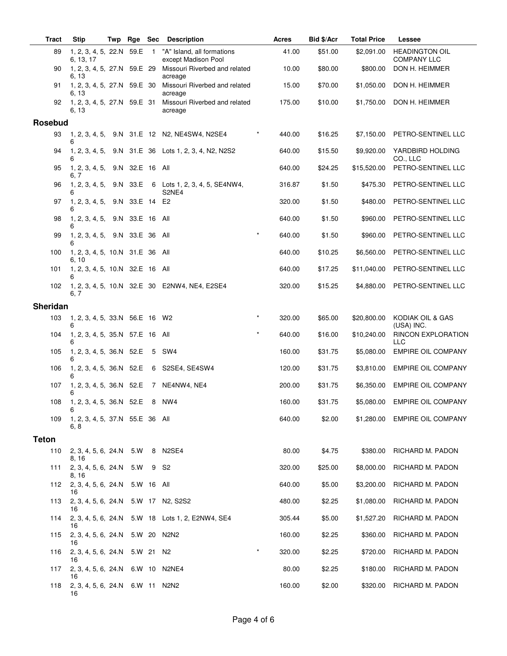| <b>Tract</b> | <b>Stip</b>                                   | Twp | Rge             | Sec            | <b>Description</b>                                  |         | Acres  | Bid \$/Acr | <b>Total Price</b> | Lessee                                      |
|--------------|-----------------------------------------------|-----|-----------------|----------------|-----------------------------------------------------|---------|--------|------------|--------------------|---------------------------------------------|
| 89           | 1, 2, 3, 4, 5, 22.N 59.E<br>6, 13, 17         |     |                 | $\overline{1}$ | "A" Island, all formations<br>except Madison Pool   |         | 41.00  | \$51.00    | \$2,091.00         | <b>HEADINGTON OIL</b><br><b>COMPANY LLC</b> |
| 90           | 1, 2, 3, 4, 5, 27.N 59.E 29<br>6, 13          |     |                 |                | Missouri Riverbed and related<br>acreage            |         | 10.00  | \$80.00    | \$800.00           | DON H. HEIMMER                              |
| 91           | 1, 2, 3, 4, 5, 27.N 59.E 30                   |     |                 |                | Missouri Riverbed and related                       |         | 15.00  | \$70.00    | \$1,050.00         | DON H. HEIMMER                              |
| 92           | 6, 13<br>1, 2, 3, 4, 5, 27.N 59.E 31<br>6, 13 |     |                 |                | acreage<br>Missouri Riverbed and related<br>acreage |         | 175.00 | \$10.00    | \$1,750.00         | DON H. HEIMMER                              |
| Rosebud      |                                               |     |                 |                |                                                     |         |        |            |                    |                                             |
| 93           | 6                                             |     |                 |                | 1, 2, 3, 4, 5, 9.N 31.E 12 N2, NE4SW4, N2SE4        |         | 440.00 | \$16.25    | \$7,150.00         | PETRO-SENTINEL LLC                          |
| 94           | 1, 2, 3, 4, 5,<br>6                           |     |                 |                | 9.N 31.E 36 Lots 1, 2, 3, 4, N2, N2S2               |         | 640.00 | \$15.50    | \$9,920.00         | YARDBIRD HOLDING<br>CO., LLC                |
| 95           | 1, 2, 3, 4, 5,<br>6, 7                        |     | 9.N 32.E 16 All |                |                                                     |         | 640.00 | \$24.25    | \$15,520.00        | PETRO-SENTINEL LLC                          |
| 96           | 1, 2, 3, 4, 5,<br>6                           |     | 9.N 33.E        |                | 6 Lots 1, 2, 3, 4, 5, SE4NW4,<br>S2NE4              |         | 316.87 | \$1.50     | \$475.30           | PETRO-SENTINEL LLC                          |
| 97           | 1, 2, 3, 4, 5,<br>6                           |     | 9.N 33.E 14 E2  |                |                                                     |         | 320.00 | \$1.50     | \$480.00           | PETRO-SENTINEL LLC                          |
| 98           | 1, 2, 3, 4, 5,<br>6                           |     | 9.N 33.E 16 All |                |                                                     |         | 640.00 | \$1.50     | \$960.00           | PETRO-SENTINEL LLC                          |
| 99           | 1, 2, 3, 4, 5, 9.N 33.E 36<br>6               |     |                 |                | All                                                 |         | 640.00 | \$1.50     | \$960.00           | PETRO-SENTINEL LLC                          |
| 100          | 1, 2, 3, 4, 5, 10.N 31.E 36<br>6.10           |     |                 |                | All                                                 |         | 640.00 | \$10.25    | \$6,560.00         | PETRO-SENTINEL LLC                          |
| 101          | 1, 2, 3, 4, 5, 10.N 32.E 16 All<br>6          |     |                 |                |                                                     |         | 640.00 | \$17.25    | \$11,040.00        | PETRO-SENTINEL LLC                          |
| 102          | 6, 7                                          |     |                 |                | 1, 2, 3, 4, 5, 10.N 32.E 30 E2NW4, NE4, E2SE4       |         | 320.00 | \$15.25    | \$4,880.00         | PETRO-SENTINEL LLC                          |
| Sheridan     |                                               |     |                 |                |                                                     |         |        |            |                    |                                             |
| 103          | 1, 2, 3, 4, 5, 33.N 56.E 16 W2<br>6           |     |                 |                |                                                     | $\star$ | 320.00 | \$65.00    | \$20,800.00        | KODIAK OIL & GAS<br>(USA) INC.              |
| 104          | 1, 2, 3, 4, 5, 35.N 57.E 16<br>6              |     |                 |                | All                                                 |         | 640.00 | \$16.00    | \$10,240.00        | RINCON EXPLORATION<br>LLC                   |
| 105          | 1, 2, 3, 4, 5, 36.N 52.E<br>6                 |     |                 | 5              | SW <sub>4</sub>                                     |         | 160.00 | \$31.75    | \$5,080.00         | <b>EMPIRE OIL COMPANY</b>                   |
| 106          | 1, 2, 3, 4, 5, 36.N 52.E<br>6                 |     |                 | 6              | S2SE4, SE4SW4                                       |         | 120.00 | \$31.75    | \$3,810.00         | <b>EMPIRE OIL COMPANY</b>                   |
| 107          | 1, 2, 3, 4, 5, 36.N 52.E<br>6                 |     |                 | 7              | NE4NW4, NE4                                         |         | 200.00 | \$31.75    | \$6,350.00         | <b>EMPIRE OIL COMPANY</b>                   |
| 108          | 1, 2, 3, 4, 5, 36.N 52.E<br>6                 |     |                 | 8              | NW4                                                 |         | 160.00 | \$31.75    | \$5,080.00         | <b>EMPIRE OIL COMPANY</b>                   |
| 109          | 1, 2, 3, 4, 5, 37.N 55.E 36 All<br>6, 8       |     |                 |                |                                                     |         | 640.00 | \$2.00     | \$1,280.00         | <b>EMPIRE OIL COMPANY</b>                   |
| <b>Teton</b> |                                               |     |                 |                |                                                     |         |        |            |                    |                                             |
| 110          | 2, 3, 4, 5, 6, 24.N 5.W<br>8, 16              |     |                 | 8              | N2SE4                                               |         | 80.00  | \$4.75     | \$380.00           | RICHARD M. PADON                            |
| 111          | 2, 3, 4, 5, 6, 24.N<br>8, 16                  |     | 5.W             |                | 9 S2                                                |         | 320.00 | \$25.00    | \$8,000.00         | RICHARD M. PADON                            |
| 112          | 2, 3, 4, 5, 6, 24.N<br>16                     |     | 5.W 16 All      |                |                                                     |         | 640.00 | \$5.00     | \$3,200.00         | RICHARD M. PADON                            |
| 113          | 2, 3, 4, 5, 6, 24.N<br>16                     |     |                 |                | 5.W 17 N2, S2S2                                     |         | 480.00 | \$2.25     | \$1,080.00         | RICHARD M. PADON                            |
| 114          | 16                                            |     |                 |                | 2, 3, 4, 5, 6, 24.N 5.W 18 Lots 1, 2, E2NW4, SE4    |         | 305.44 | \$5.00     | \$1,527.20         | RICHARD M. PADON                            |
| 115          | 2, 3, 4, 5, 6, 24.N<br>16                     |     | 5.W 20          |                | N2N2                                                |         | 160.00 | \$2.25     | \$360.00           | RICHARD M. PADON                            |
| 116          | 2, 3, 4, 5, 6, 24.N<br>16                     |     | 5.W 21 N2       |                |                                                     | $\star$ | 320.00 | \$2.25     | \$720.00           | RICHARD M. PADON                            |
| 117          | 2, 3, 4, 5, 6, 24.N<br>16                     |     | 6.W 10          |                | N2NE4                                               |         | 80.00  | \$2.25     | \$180.00           | RICHARD M. PADON                            |
| 118          | 2, 3, 4, 5, 6, 24.N 6.W 11 N2N2<br>16         |     |                 |                |                                                     |         | 160.00 | \$2.00     | \$320.00           | RICHARD M. PADON                            |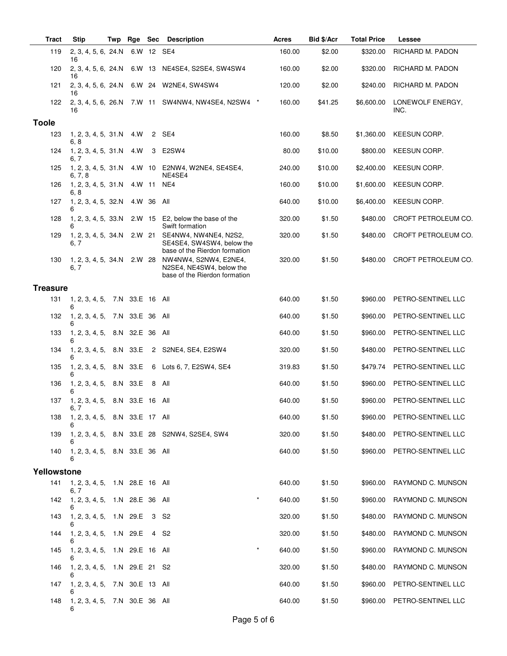| <b>Tract</b>    | <b>Stip</b>                                 | Twp | Rge             | <b>Sec</b>     | <b>Description</b>                                                                  | Acres  | Bid \$/Acr | <b>Total Price</b> | Lessee                   |
|-----------------|---------------------------------------------|-----|-----------------|----------------|-------------------------------------------------------------------------------------|--------|------------|--------------------|--------------------------|
| 119             | 2, 3, 4, 5, 6, 24.N<br>16                   |     |                 |                | 6.W 12 SE4                                                                          | 160.00 | \$2.00     | \$320.00           | RICHARD M. PADON         |
| 120             | 2, 3, 4, 5, 6, 24.N<br>16                   |     |                 |                | 6.W 13 NE4SE4, S2SE4, SW4SW4                                                        | 160.00 | \$2.00     | \$320.00           | RICHARD M. PADON         |
| 121             | 2, 3, 4, 5, 6, 24.N<br>16                   |     |                 |                | 6.W 24 W2NE4, SW4SW4                                                                | 120.00 | \$2.00     | \$240.00           | RICHARD M. PADON         |
| 122             | 16                                          |     |                 |                | 2, 3, 4, 5, 6, 26. N 7. W 11 SW4NW4, NW4SE4, N2SW4 *                                | 160.00 | \$41.25    | \$6,600.00         | LONEWOLF ENERGY,<br>INC. |
| <b>Toole</b>    |                                             |     |                 |                |                                                                                     |        |            |                    |                          |
| 123             | 1, 2, 3, 4, 5, 31.N<br>6, 8                 |     | 4.W             | $^{2}$         | SE4                                                                                 | 160.00 | \$8.50     | \$1,360.00         | KEESUN CORP.             |
| 124             | 1, 2, 3, 4, 5, 31.N<br>6. 7                 |     | 4.W             | 3              | E2SW4                                                                               | 80.00  | \$10.00    | \$800.00           | KEESUN CORP.             |
| 125             | 1, 2, 3, 4, 5, 31.N<br>6, 7, 8              |     |                 |                | 4.W 10 E2NW4, W2NE4, SE4SE4,<br>NE4SE4                                              | 240.00 | \$10.00    | \$2,400.00         | KEESUN CORP.             |
| 126             | 1, 2, 3, 4, 5, 31.N<br>6, 8                 |     | 4.W 11          |                | NE4                                                                                 | 160.00 | \$10.00    | \$1,600.00         | KEESUN CORP.             |
| 127             | 1, 2, 3, 4, 5, 32.N<br>6                    |     | 4.W 36          |                | All                                                                                 | 640.00 | \$10.00    | \$6,400.00         | KEESUN CORP.             |
| 128             | 1, 2, 3, 4, 5, 33.N<br>6                    |     |                 | 2.W 15         | E2, below the base of the<br>Swift formation                                        | 320.00 | \$1.50     | \$480.00           | CROFT PETROLEUM CO.      |
| 129             | 1, 2, 3, 4, 5, 34.N<br>6, 7                 |     | 2.W 21          |                | SE4NW4, NW4NE4, N2S2,<br>SE4SE4, SW4SW4, below the<br>base of the Rierdon formation | 320.00 | \$1.50     | \$480.00           | CROFT PETROLEUM CO.      |
| 130             | 1, 2, 3, 4, 5, 34.N<br>6, 7                 |     | 2.W 28          |                | NW4NW4, S2NW4, E2NE4,<br>N2SE4, NE4SW4, below the<br>base of the Rierdon formation  | 320.00 | \$1.50     | \$480.00           | CROFT PETROLEUM CO.      |
| <b>Treasure</b> |                                             |     |                 |                |                                                                                     |        |            |                    |                          |
| 131             | 1, 2, 3, 4, 5,<br>6                         |     | 7.N 33.E 16 All |                |                                                                                     | 640.00 | \$1.50     | \$960.00           | PETRO-SENTINEL LLC       |
| 132             | 1, 2, 3, 4, 5,<br>6                         |     | 7.N 33.E 36     |                | All                                                                                 | 640.00 | \$1.50     | \$960.00           | PETRO-SENTINEL LLC       |
| 133             | 1, 2, 3, 4, 5,<br>6                         |     | 8.N 32.E 36     |                | All                                                                                 | 640.00 | \$1.50     | \$960.00           | PETRO-SENTINEL LLC       |
| 134             | 1, 2, 3, 4, 5,                              |     | 8.N 33.E        | $\overline{c}$ | S2NE4, SE4, E2SW4                                                                   | 320.00 | \$1.50     | \$480.00           | PETRO-SENTINEL LLC       |
| 135             | 1, 2, 3, 4, 5,<br>6                         |     | 8.N 33.E        | 6              | Lots 6, 7, E2SW4, SE4                                                               | 319.83 | \$1.50     | \$479.74           | PETRO-SENTINEL LLC       |
| 136             | 1, 2, 3, 4, 5,<br>6                         |     | 8.N 33.E        | 8              | All                                                                                 | 640.00 | \$1.50     | \$960.00           | PETRO-SENTINEL LLC       |
| 137             | 1, 2, 3, 4, 5, 8.N 33.E 16 All<br>6, 7      |     |                 |                |                                                                                     | 640.00 | \$1.50     | \$960.00           | PETRO-SENTINEL LLC       |
| 138             | 1, 2, 3, 4, 5, 8.N 33.E 17 All<br>6         |     |                 |                |                                                                                     | 640.00 | \$1.50     | \$960.00           | PETRO-SENTINEL LLC       |
| 139             |                                             |     |                 |                | 1, 2, 3, 4, 5, 8.N 33.E 28 S2NW4, S2SE4, SW4                                        | 320.00 | \$1.50     | \$480.00           | PETRO-SENTINEL LLC       |
| 140             | 1, 2, 3, 4, 5, 8.N 33.E 36 All<br>6         |     |                 |                |                                                                                     | 640.00 | \$1.50     | \$960.00           | PETRO-SENTINEL LLC       |
| Yellowstone     |                                             |     |                 |                |                                                                                     |        |            |                    |                          |
| 141             | 1, 2, 3, 4, 5, 1.N 28.E 16 All              |     |                 |                |                                                                                     | 640.00 | \$1.50     | \$960.00           | RAYMOND C. MUNSON        |
| 142             | 6, 7<br>1, 2, 3, 4, 5, 1.N 28.E 36 All<br>6 |     |                 |                | $\star$                                                                             | 640.00 | \$1.50     | \$960.00           | RAYMOND C. MUNSON        |
| 143             | 1, 2, 3, 4, 5, 1.N 29.E                     |     |                 | 3              | S2                                                                                  | 320.00 | \$1.50     | \$480.00           | RAYMOND C. MUNSON        |
| 144             | 6<br>1, 2, 3, 4, 5, 1.N 29.E                |     |                 | 4              | S2                                                                                  | 320.00 | \$1.50     | \$480.00           | RAYMOND C. MUNSON        |
| 145             | 1, 2, 3, 4, 5, 1.N 29.E 16 All              |     |                 |                | $\star$                                                                             | 640.00 | \$1.50     | \$960.00           | RAYMOND C. MUNSON        |
| 146             | 6<br>1, 2, 3, 4, 5, 1.N 29.E 21 S2          |     |                 |                |                                                                                     | 320.00 | \$1.50     | \$480.00           | RAYMOND C. MUNSON        |
| 147             | 6<br>1, 2, 3, 4, 5, 7.N 30.E 13 All         |     |                 |                |                                                                                     | 640.00 | \$1.50     | \$960.00           | PETRO-SENTINEL LLC       |
| 148             | 1, 2, 3, 4, 5, 7.N 30.E 36 All<br>6         |     |                 |                |                                                                                     | 640.00 | \$1.50     | \$960.00           | PETRO-SENTINEL LLC       |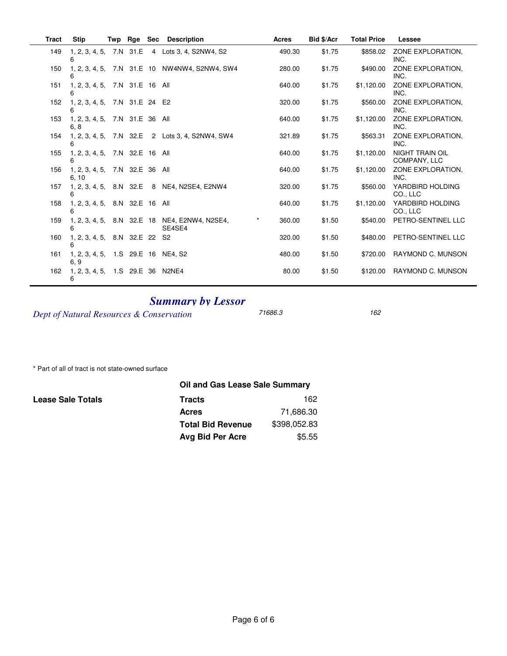| Tract | <b>Stip</b>                             | Twp Rge        | <b>Sec</b> | <b>Description</b>           | <b>Acres</b>      | Bid \$/Acr | <b>Total Price</b> | Lessee                                 |
|-------|-----------------------------------------|----------------|------------|------------------------------|-------------------|------------|--------------------|----------------------------------------|
| 149   | 1, 2, 3, 4, 5, 7.N 31.E<br>6            |                |            | 4 Lots 3, 4, S2NW4, S2       | 490.30            | \$1.75     | \$858.02           | ZONE EXPLORATION.<br>INC.              |
| 150   | 1, 2, 3, 4, 5, 7.N 31.E 10<br>6         |                |            | NW4NW4, S2NW4, SW4           | 280.00            | \$1.75     | \$490.00           | ZONE EXPLORATION.<br>INC.              |
| 151   | 1, 2, 3, 4, 5, 7.N 31.E 16 All          |                |            |                              | 640.00            | \$1.75     | \$1,120.00         | ZONE EXPLORATION.<br>INC.              |
| 152   | 1, 2, 3, 4, 5,<br>6                     | 7.N 31.E 24 E2 |            |                              | 320.00            | \$1.75     | \$560.00           | ZONE EXPLORATION.<br>INC.              |
| 153   | 1, 2, 3, 4, 5, 7.N 31.E 36 All<br>6, 8  |                |            |                              | 640.00            | \$1.75     | \$1,120.00         | ZONE EXPLORATION,<br>INC.              |
| 154   | 1, 2, 3, 4, 5,<br>ี                     | 7.N 32.E       |            | 2 Lots 3, 4, S2NW4, SW4      | 321.89            | \$1.75     | \$563.31           | ZONE EXPLORATION.<br>INC.              |
| 155   | 1, 2, 3, 4, 5, 7.N 32.E 16 All<br>6     |                |            |                              | 640.00            | \$1.75     | \$1,120.00         | <b>NIGHT TRAIN OIL</b><br>COMPANY, LLC |
| 156   | 1, 2, 3, 4, 5, 7.N 32.E 36 All<br>6, 10 |                |            |                              | 640.00            | \$1.75     | \$1,120.00         | ZONE EXPLORATION.<br>INC.              |
| 157   | 1, 2, 3, 4, 5, 8.N 32.E<br>6            |                |            | 8 NE4, N2SE4, E2NW4          | 320.00            | \$1.75     | \$560.00           | YARDBIRD HOLDING<br>CO., LLC           |
| 158   | 1, 2, 3, 4, 5, 8.N 32.E 16 All          |                |            |                              | 640.00            | \$1.75     | \$1,120.00         | YARDBIRD HOLDING<br>CO., LLC           |
| 159   | 1, 2, 3, 4, 5, 8.N 32.E 18<br>6         |                |            | NE4, E2NW4, N2SE4,<br>SE4SE4 | $\star$<br>360.00 | \$1.50     | \$540.00           | PETRO-SENTINEL LLC                     |
| 160   | 1, 2, 3, 4, 5, 8.N 32.E 22<br>6         |                |            | S <sub>2</sub>               | 320.00            | \$1.50     | \$480.00           | PETRO-SENTINEL LLC                     |
| 161   | 1, 2, 3, 4, 5, 1.S 29.E 16<br>6, 9      |                |            | NE4. S2                      | 480.00            | \$1.50     | \$720.00           | RAYMOND C. MUNSON                      |
| 162   | 1, 2, 3, 4, 5, 1.S 29.E 36 N2NE4<br>6   |                |            |                              | 80.00             | \$1.50     | \$120.00           | RAYMOND C. MUNSON                      |

# **Summary by Lessor**

Dept of Natural Resources & Conservation

71686.3

162

\* Part of all of tract is not state-owned surface

**Lease Sale Totals** 

| Oil and Gas Lease Sale Summary |              |  |  |  |  |
|--------------------------------|--------------|--|--|--|--|
| <b>Tracts</b>                  | 162          |  |  |  |  |
| <b>Acres</b>                   | 71,686.30    |  |  |  |  |
| <b>Total Bid Revenue</b>       | \$398,052.83 |  |  |  |  |
| Avg Bid Per Acre               | \$5.55       |  |  |  |  |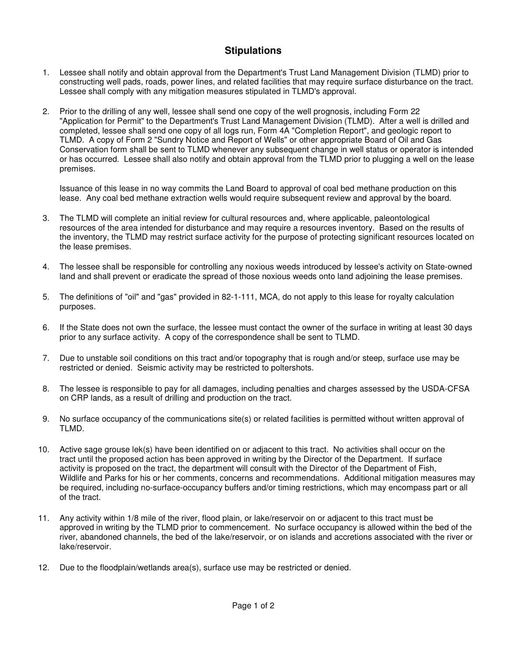### **Stipulations**

- 1. Lessee shall notify and obtain approval from the Department's Trust Land Management Division (TLMD) prior to constructing well pads, roads, power lines, and related facilities that may require surface disturbance on the tract. Lessee shall comply with any mitigation measures stipulated in TLMD's approval.
- 2. Prior to the drilling of any well, lessee shall send one copy of the well prognosis, including Form 22 "Application for Permit" to the Department's Trust Land Management Division (TLMD). After a well is drilled and completed, lessee shall send one copy of all logs run, Form 4A "Completion Report", and geologic report to TLMD. A copy of Form 2 "Sundry Notice and Report of Wells" or other appropriate Board of Oil and Gas Conservation form shall be sent to TLMD whenever any subsequent change in well status or operator is intended or has occurred. Lessee shall also notify and obtain approval from the TLMD prior to plugging a well on the lease premises.

Issuance of this lease in no way commits the Land Board to approval of coal bed methane production on this lease. Any coal bed methane extraction wells would require subsequent review and approval by the board.

- 3. The TLMD will complete an initial review for cultural resources and, where applicable, paleontological resources of the area intended for disturbance and may require a resources inventory. Based on the results of the inventory, the TLMD may restrict surface activity for the purpose of protecting significant resources located on the lease premises.
- 4. The lessee shall be responsible for controlling any noxious weeds introduced by lessee's activity on State-owned land and shall prevent or eradicate the spread of those noxious weeds onto land adjoining the lease premises.
- 5. The definitions of "oil" and "gas" provided in 82-1-111, MCA, do not apply to this lease for royalty calculation purposes.
- 6. If the State does not own the surface, the lessee must contact the owner of the surface in writing at least 30 days prior to any surface activity. A copy of the correspondence shall be sent to TLMD.
- 7. Due to unstable soil conditions on this tract and/or topography that is rough and/or steep, surface use may be restricted or denied. Seismic activity may be restricted to poltershots.
- 8. The lessee is responsible to pay for all damages, including penalties and charges assessed by the USDA-CFSA on CRP lands, as a result of drilling and production on the tract.
- 9. No surface occupancy of the communications site(s) or related facilities is permitted without written approval of TLMD.
- 10. Active sage grouse lek(s) have been identified on or adjacent to this tract. No activities shall occur on the tract until the proposed action has been approved in writing by the Director of the Department. If surface activity is proposed on the tract, the department will consult with the Director of the Department of Fish, Wildlife and Parks for his or her comments, concerns and recommendations. Additional mitigation measures may be required, including no-surface-occupancy buffers and/or timing restrictions, which may encompass part or all of the tract.
- 11. Any activity within 1/8 mile of the river, flood plain, or lake/reservoir on or adjacent to this tract must be approved in writing by the TLMD prior to commencement. No surface occupancy is allowed within the bed of the river, abandoned channels, the bed of the lake/reservoir, or on islands and accretions associated with the river or lake/reservoir.
- 12. Due to the floodplain/wetlands area(s), surface use may be restricted or denied.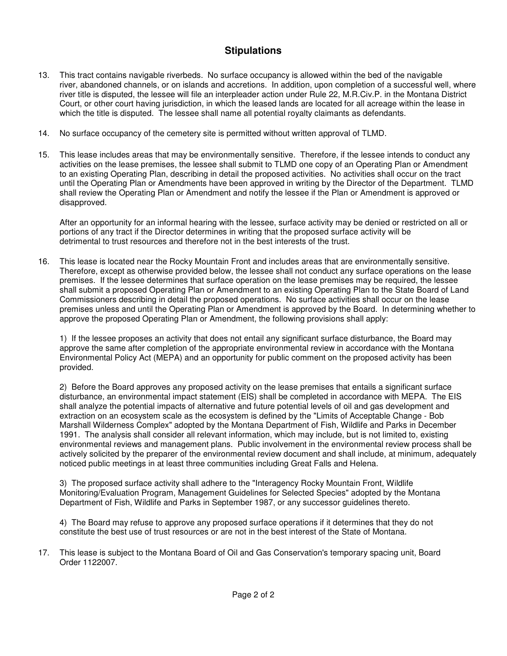## **Stipulations**

- 13. This tract contains navigable riverbeds. No surface occupancy is allowed within the bed of the navigable river, abandoned channels, or on islands and accretions. In addition, upon completion of a successful well, where river title is disputed, the lessee will file an interpleader action under Rule 22, M.R.Civ.P. in the Montana District Court, or other court having jurisdiction, in which the leased lands are located for all acreage within the lease in which the title is disputed. The lessee shall name all potential royalty claimants as defendants.
- 14. No surface occupancy of the cemetery site is permitted without written approval of TLMD.
- 15. This lease includes areas that may be environmentally sensitive. Therefore, if the lessee intends to conduct any activities on the lease premises, the lessee shall submit to TLMD one copy of an Operating Plan or Amendment to an existing Operating Plan, describing in detail the proposed activities. No activities shall occur on the tract until the Operating Plan or Amendments have been approved in writing by the Director of the Department. TLMD shall review the Operating Plan or Amendment and notify the lessee if the Plan or Amendment is approved or disapproved.

After an opportunity for an informal hearing with the lessee, surface activity may be denied or restricted on all or portions of any tract if the Director determines in writing that the proposed surface activity will be detrimental to trust resources and therefore not in the best interests of the trust.

16. This lease is located near the Rocky Mountain Front and includes areas that are environmentally sensitive. Therefore, except as otherwise provided below, the lessee shall not conduct any surface operations on the lease premises. If the lessee determines that surface operation on the lease premises may be required, the lessee shall submit a proposed Operating Plan or Amendment to an existing Operating Plan to the State Board of Land Commissioners describing in detail the proposed operations. No surface activities shall occur on the lease premises unless and until the Operating Plan or Amendment is approved by the Board. In determining whether to approve the proposed Operating Plan or Amendment, the following provisions shall apply:

1) If the lessee proposes an activity that does not entail any significant surface disturbance, the Board may approve the same after completion of the appropriate environmental review in accordance with the Montana Environmental Policy Act (MEPA) and an opportunity for public comment on the proposed activity has been provided.

2) Before the Board approves any proposed activity on the lease premises that entails a significant surface disturbance, an environmental impact statement (EIS) shall be completed in accordance with MEPA. The EIS shall analyze the potential impacts of alternative and future potential levels of oil and gas development and extraction on an ecosystem scale as the ecosystem is defined by the "Limits of Acceptable Change - Bob Marshall Wilderness Complex" adopted by the Montana Department of Fish, Wildlife and Parks in December 1991. The analysis shall consider all relevant information, which may include, but is not limited to, existing environmental reviews and management plans. Public involvement in the environmental review process shall be actively solicited by the preparer of the environmental review document and shall include, at minimum, adequately noticed public meetings in at least three communities including Great Falls and Helena.

3) The proposed surface activity shall adhere to the "Interagency Rocky Mountain Front, Wildlife Monitoring/Evaluation Program, Management Guidelines for Selected Species" adopted by the Montana Department of Fish, Wildlife and Parks in September 1987, or any successor guidelines thereto.

4) The Board may refuse to approve any proposed surface operations if it determines that they do not constitute the best use of trust resources or are not in the best interest of the State of Montana.

17. This lease is subject to the Montana Board of Oil and Gas Conservation's temporary spacing unit, Board Order 1122007.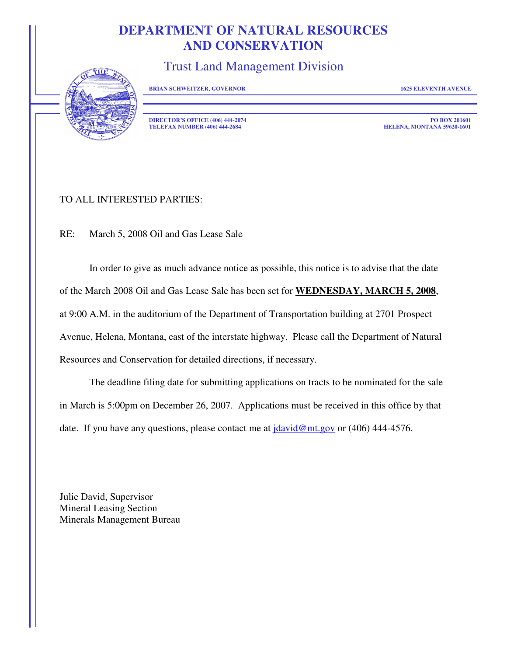# **DEPARTMENT OF NATURAL RESOURCES AND CONSERVATION**

Trust Land Management Division



**BRIAN SCHWEITZER, GOVERNOR 1625 ELEVENTH AVENUE** 

**DIRECTOR'S OFFICE (406) 444-2074 PO BOX 201601 PO BOX 201601 PO BOX 201601 PO BOX 201601 PO BOX 201601 TELEFAX NUMBER (406) 444-2684** 

### TO ALL INTERESTED PARTIES:

RE: March 5, 2008 Oil and Gas Lease Sale

In order to give as much advance notice as possible, this notice is to advise that the date of the March 2008 Oil and Gas Lease Sale has been set for **WEDNESDAY, MARCH 5, 2008**, at 9:00 A.M. in the auditorium of the Department of Transportation building at 2701 Prospect Avenue, Helena, Montana, east of the interstate highway. Please call the Department of Natural Resources and Conservation for detailed directions, if necessary.

The deadline filing date for submitting applications on tracts to be nominated for the sale in March is 5:00pm on December 26, 2007. Applications must be received in this office by that date. If you have any questions, please contact me at  $\frac{\text{d}u}{\text{d}v \cdot d\omega}$  or (406) 444-4576.

Julie David, Supervisor Mineral Leasing Section Minerals Management Bureau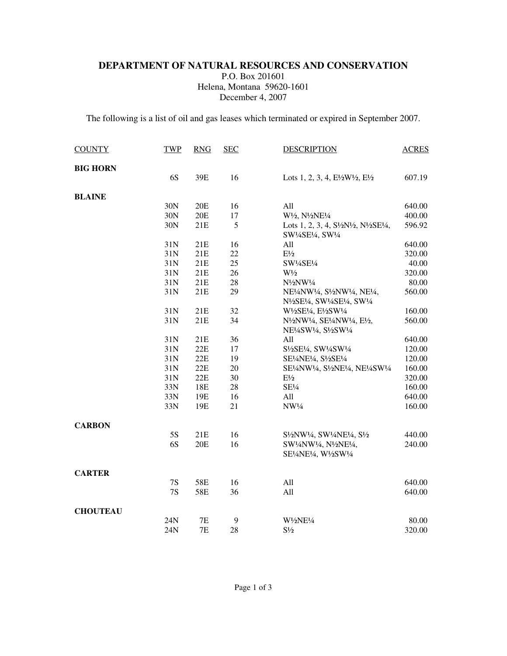#### **DEPARTMENT OF NATURAL RESOURCES AND CONSERVATION**  P.O. Box 201601 Helena, Montana 59620-1601 December 4, 2007

The following is a list of oil and gas leases which terminated or expired in September 2007.

| <b>COUNTY</b>   | <b>TWP</b>    | <b>RNG</b> | <b>SEC</b> | <b>DESCRIPTION</b>                                                                                                                                                                                                                                                                                                               | <b>ACRES</b> |
|-----------------|---------------|------------|------------|----------------------------------------------------------------------------------------------------------------------------------------------------------------------------------------------------------------------------------------------------------------------------------------------------------------------------------|--------------|
| <b>BIG HORN</b> |               |            |            |                                                                                                                                                                                                                                                                                                                                  |              |
|                 | 6S            | 39E        | 16         | Lots 1, 2, 3, 4, $E\frac{1}{2}W\frac{1}{2}$ , $E\frac{1}{2}$                                                                                                                                                                                                                                                                     | 607.19       |
| <b>BLAINE</b>   |               |            |            |                                                                                                                                                                                                                                                                                                                                  |              |
|                 | 30N           | 20E        | 16         | All                                                                                                                                                                                                                                                                                                                              | 640.00       |
|                 | 30N           | 20E        | 17         | W <sup>1</sup> / <sub>2</sub> , N <sup>1</sup> / <sub>2</sub> NE <sup>1</sup> / <sub>4</sub>                                                                                                                                                                                                                                     | 400.00       |
|                 | 30N           | 21E        | 5          | Lots 1, 2, 3, 4, S½N½, N½SE¼,<br>SW1/4SE1/4, SW1/4                                                                                                                                                                                                                                                                               | 596.92       |
|                 | 31N           | 21E        | 16         | All                                                                                                                                                                                                                                                                                                                              | 640.00       |
|                 | 31N           | 21E        | 22         | $\mathrm{E}\frac{1}{2}$                                                                                                                                                                                                                                                                                                          | 320.00       |
|                 | 31N           | 21E        | 25         | SW1/4SE1/4                                                                                                                                                                                                                                                                                                                       | 40.00        |
|                 | 31N           | 21E        | 26         | $W\frac{1}{2}$                                                                                                                                                                                                                                                                                                                   | 320.00       |
|                 | 31N           | 21E        | 28         | N <sup>1</sup> / <sub>2</sub> NW <sup>1</sup> /4                                                                                                                                                                                                                                                                                 | 80.00        |
|                 | 31N           | 21E        | 29         | NE <sup>1</sup> / <sub>4</sub> NW <sup>1</sup> / <sub>4</sub> , S <sup>1</sup> / <sub>2</sub> NW <sup>1</sup> / <sub>4</sub> , NE <sup>1</sup> / <sub>4</sub> ,<br>N <sup>1</sup> / <sub>2</sub> SE <sup>1</sup> / <sub>4</sub> , SW <sup>1</sup> / <sub>4</sub> SE <sup>1</sup> / <sub>4</sub> , SW <sup>1</sup> / <sub>4</sub> | 560.00       |
|                 | 31N           | 21E        | 32         | W1/2SE1/4, E1/2SW1/4                                                                                                                                                                                                                                                                                                             | 160.00       |
|                 | 31N           | 21E        | 34         | N <sup>1</sup> / <sub>2</sub> NW <sup>1</sup> / <sub>4</sub> , SE <sup>1</sup> / <sub>4</sub> NW <sup>1</sup> / <sub>4</sub> , E <sup>1</sup> / <sub>2</sub> ,<br>NE <sup>1</sup> / <sub>4</sub> SW <sup>1</sup> / <sub>4</sub> , S <sup>1</sup> / <sub>2</sub> SW <sup>1</sup> / <sub>4</sub>                                   | 560.00       |
|                 | 31N           | 21E        | 36         | All                                                                                                                                                                                                                                                                                                                              | 640.00       |
|                 | 31N           | $22E$      | 17         | S1/2SE1/4, SW1/4SW1/4                                                                                                                                                                                                                                                                                                            | 120.00       |
|                 | 31N           | 22E        | 19         | SE1/4NE1/4, S1/2SE1/4                                                                                                                                                                                                                                                                                                            | 120.00       |
|                 | 31N           | 22E        | 20         | SE½NW¼, S½NE¼, NE½SW¼                                                                                                                                                                                                                                                                                                            | 160.00       |
|                 | 31N           | 22E        | 30         | $E\frac{1}{2}$                                                                                                                                                                                                                                                                                                                   | 320.00       |
|                 | 33N           | 18E        | 28         | SE <sup>1</sup> / <sub>4</sub>                                                                                                                                                                                                                                                                                                   | 160.00       |
|                 | 33N           | 19E        | 16         | All                                                                                                                                                                                                                                                                                                                              | 640.00       |
|                 | 33N           | 19E        | 21         | NW1/4                                                                                                                                                                                                                                                                                                                            | 160.00       |
| <b>CARBON</b>   |               |            |            |                                                                                                                                                                                                                                                                                                                                  |              |
|                 | 5S            | 21E        | 16         | S <sup>1</sup> / <sub>2</sub> NW <sup>1</sup> / <sub>4</sub> , SW <sup>1</sup> / <sub>4</sub> NE <sup>1</sup> / <sub>4</sub> , S <sup>1</sup> / <sub>2</sub>                                                                                                                                                                     | 440.00       |
|                 | 6S            | 20E        | 16         | SW1/4NW1/4, N1/2NE1/4,<br>SE½NE½, W1/2SW1/4                                                                                                                                                                                                                                                                                      | 240.00       |
| <b>CARTER</b>   |               |            |            |                                                                                                                                                                                                                                                                                                                                  |              |
|                 | $7\mathrm{S}$ | 58E        | 16         | All                                                                                                                                                                                                                                                                                                                              | 640.00       |
|                 | 7S            | 58E        | 36         | All                                                                                                                                                                                                                                                                                                                              | 640.00       |
| <b>CHOUTEAU</b> |               |            |            |                                                                                                                                                                                                                                                                                                                                  |              |
|                 | 24N           | 7E         | 9          | W1/2NE1/4                                                                                                                                                                                                                                                                                                                        | 80.00        |
|                 | 24N           | 7E         | 28         | $S\frac{1}{2}$                                                                                                                                                                                                                                                                                                                   | 320.00       |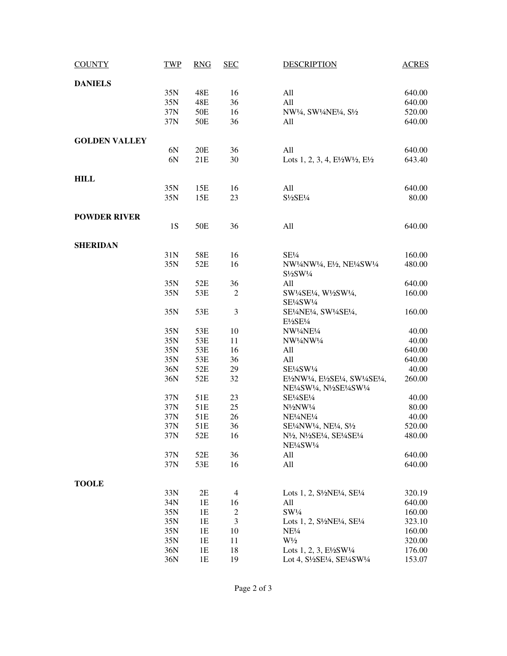| <b>COUNTY</b>        | <b>TWP</b> | <b>RNG</b> | <b>SEC</b>     | <b>DESCRIPTION</b>                                                                                                                                                         | <b>ACRES</b> |
|----------------------|------------|------------|----------------|----------------------------------------------------------------------------------------------------------------------------------------------------------------------------|--------------|
| <b>DANIELS</b>       |            |            |                |                                                                                                                                                                            |              |
|                      | 35N        | 48E        | 16             | All                                                                                                                                                                        | 640.00       |
|                      | 35N        | 48E        | 36             | All                                                                                                                                                                        | 640.00       |
|                      | 37N        | 50E        | 16             | NW1/4, SW1/4NE1/4, S1/2                                                                                                                                                    | 520.00       |
|                      | 37N        | 50E        | 36             | All                                                                                                                                                                        | 640.00       |
| <b>GOLDEN VALLEY</b> |            |            |                |                                                                                                                                                                            |              |
|                      | 6N         | 20E        | 36             | All                                                                                                                                                                        | 640.00       |
|                      | 6N         | 21E        | 30             | Lots 1, 2, 3, 4, $E\frac{1}{2}W\frac{1}{2}$ , $E\frac{1}{2}$                                                                                                               | 643.40       |
| <b>HILL</b>          |            |            |                |                                                                                                                                                                            |              |
|                      | 35N        | 15E        | 16             | All                                                                                                                                                                        | 640.00       |
|                      | 35N        | 15E        | 23             | S1/2SE1/4                                                                                                                                                                  | 80.00        |
| <b>POWDER RIVER</b>  |            |            |                |                                                                                                                                                                            |              |
|                      | <b>1S</b>  | 50E        | 36             | All                                                                                                                                                                        | 640.00       |
| <b>SHERIDAN</b>      |            |            |                |                                                                                                                                                                            |              |
|                      | 31N        | 58E        | 16             | SE <sup>1</sup> / <sub>4</sub>                                                                                                                                             | 160.00       |
|                      | 35N        | 52E        | 16             | NW1/4NW1/4, E1/2, NE1/4SW1/4<br>$S\frac{1}{2}SW\frac{1}{4}$                                                                                                                | 480.00       |
|                      | 35N        | 52E        | 36             | All                                                                                                                                                                        | 640.00       |
|                      | 35N        | 53E        | $\overline{c}$ | SW1/4SE1/4, W1/2SW1/4,<br>SE1/4SW1/4                                                                                                                                       | 160.00       |
|                      | 35N        | 53E        | 3              | SE1/4NE1/4, SW1/4SE1/4,<br>$E\frac{1}{2}SE\frac{1}{4}$                                                                                                                     | 160.00       |
|                      | 35N        | 53E        | 10             | NW1/4NE1/4                                                                                                                                                                 | 40.00        |
|                      | 35N        | 53E        | 11             | NW1/4NW1/4                                                                                                                                                                 | 40.00        |
|                      | 35N        | 53E        | 16             | All                                                                                                                                                                        | 640.00       |
|                      | 35N        | 53E        | 36             | All                                                                                                                                                                        | 640.00       |
|                      | 36N        | 52E        | 29             | SE1/4SW1/4                                                                                                                                                                 | 40.00        |
|                      | 36N        | 52E        | 32             | E½NW1/4, E½SE1/4, SW1/4SE1/4,<br>NE <sup>1</sup> /4SW <sup>1</sup> /4, N <sup>1</sup> /2SE <sup>1</sup> /4SW <sup>1</sup> /4                                               | 260.00       |
|                      | 37N        | 51E        | 23             | SE1/4SE1/4                                                                                                                                                                 | 40.00        |
|                      | 37N        | 51E        | 25             | $N\frac{1}{2}NW\frac{1}{4}$                                                                                                                                                | 80.00        |
|                      | 37N        | 51E        | 26             | NE <sup>1</sup> / <sub>4</sub> NE <sup>1</sup> / <sub>4</sub>                                                                                                              | 40.00        |
|                      | 37N        | 51E        | 36             | SE <sup>1</sup> / <sub>4</sub> NW <sup>1</sup> / <sub>4</sub> , NE <sup>1</sup> / <sub>4</sub> , S <sup>1</sup> / <sub>2</sub>                                             | 520.00       |
|                      | 37N        | 52E        | 16             | N <sup>1</sup> / <sub>2</sub> , N <sup>1</sup> / <sub>2</sub> SE <sup>1</sup> / <sub>4</sub> , SE <sup>1</sup> / <sub>4</sub> SE <sup>1</sup> / <sub>4</sub><br>NE!/4SW!/4 | 480.00       |
|                      | 37N        | 52E        | 36             | All                                                                                                                                                                        | 640.00       |
|                      | 37N        | 53E        | 16             | All                                                                                                                                                                        | 640.00       |
| <b>TOOLE</b>         |            |            |                |                                                                                                                                                                            |              |
|                      | 33N        | 2E         | 4              | Lots 1, 2, S <sup>1</sup> / <sub>2</sub> NE <sup>1</sup> / <sub>4</sub> , SE <sup>1</sup> / <sub>4</sub>                                                                   | 320.19       |
|                      | 34N        | 1E         | 16             | All                                                                                                                                                                        | 640.00       |
|                      | 35N        | 1E         | $\overline{c}$ | SW <sup>1</sup> / <sub>4</sub>                                                                                                                                             | 160.00       |
|                      | 35N        | 1E         | 3              | Lots 1, 2, $S\frac{1}{2}NE\frac{1}{4}$ , $SE\frac{1}{4}$                                                                                                                   | 323.10       |
|                      | 35N        | 1E         | 10             | NE <sup>1</sup> / <sub>4</sub>                                                                                                                                             | 160.00       |
|                      | 35N        | 1E         | 11             | $W\frac{1}{2}$                                                                                                                                                             | 320.00       |
|                      | 36N        | 1E         | 18             | Lots 1, 2, 3, $E\frac{1}{2SW1/4}$                                                                                                                                          | 176.00       |
|                      | 36N        | 1E         | 19             | Lot 4, S <sup>1</sup> / <sub>2</sub> SE <sup>1</sup> / <sub>4</sub> , SE <sup>1</sup> / <sub>4</sub> SW <sup>1</sup> / <sub>4</sub>                                        | 153.07       |